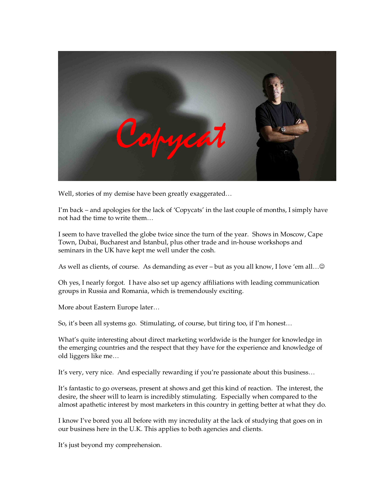

Well, stories of my demise have been greatly exaggerated...

I'm back – and apologies for the lack of 'Copycats' in the last couple of months, I simply have not had the time to write them…

I seem to have travelled the globe twice since the turn of the year. Shows in Moscow, Cape Town, Dubai, Bucharest and Istanbul, plus other trade and in-house workshops and seminars in the UK have kept me well under the cosh.

As well as clients, of course. As demanding as ever – but as you all know, I love 'em all....©

Oh yes, I nearly forgot. I have also set up agency affiliations with leading communication groups in Russia and Romania, which is tremendously exciting.

More about Eastern Europe later…

So, it's been all systems go. Stimulating, of course, but tiring too, if I'm honest…

What's quite interesting about direct marketing worldwide is the hunger for knowledge in the emerging countries and the respect that they have for the experience and knowledge of old liggers like me…

It's very, very nice. And especially rewarding if you're passionate about this business…

It's fantastic to go overseas, present at shows and get this kind of reaction. The interest, the desire, the sheer will to learn is incredibly stimulating. Especially when compared to the almost apathetic interest by most marketers in this country in getting better at what they do.

I know I've bored you all before with my incredulity at the lack of studying that goes on in our business here in the U.K. This applies to both agencies and clients.

It's just beyond my comprehension.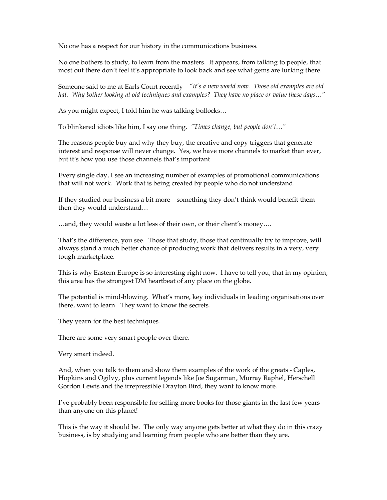No one has a respect for our history in the communications business.

No one bothers to study, to learn from the masters. It appears, from talking to people, that most out there don't feel it's appropriate to look back and see what gems are lurking there.

Someone said to me at Earls Court recently – *"It's a new world now. Those old examples are old hat. Why bother looking at old techniques and examples? They have no place or value these days…"*

As you might expect, I told him he was talking bollocks…

To blinkered idiots like him, I say one thing. *"Times change, but people don't…"* 

The reasons people buy and why they buy, the creative and copy triggers that generate interest and response will never change. Yes, we have more channels to market than ever, but it's how you use those channels that's important.

Every single day, I see an increasing number of examples of promotional communications that will not work. Work that is being created by people who do not understand.

If they studied our business a bit more – something they don't think would benefit them – then they would understand…

…and, they would waste a lot less of their own, or their client's money….

That's the difference, you see. Those that study, those that continually try to improve, will always stand a much better chance of producing work that delivers results in a very, very tough marketplace.

This is why Eastern Europe is so interesting right now. I have to tell you, that in my opinion, this area has the strongest DM heartbeat of any place on the globe.

The potential is mind-blowing. What's more, key individuals in leading organisations over there, want to learn. They want to know the secrets.

They yearn for the best techniques.

There are some very smart people over there.

Very smart indeed.

And, when you talk to them and show them examples of the work of the greats - Caples, Hopkins and Ogilvy, plus current legends like Joe Sugarman, Murray Raphel, Herschell Gordon Lewis and the irrepressible Drayton Bird, they want to know more.

I've probably been responsible for selling more books for those giants in the last few years than anyone on this planet!

This is the way it should be. The only way anyone gets better at what they do in this crazy business, is by studying and learning from people who are better than they are.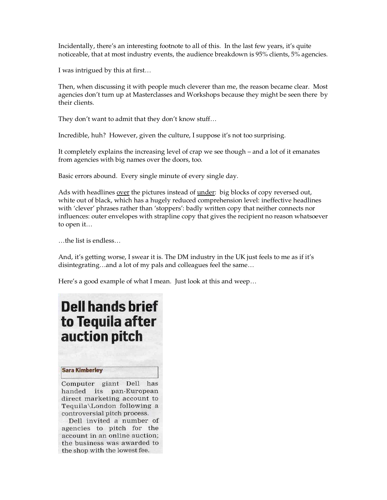Incidentally, there's an interesting footnote to all of this. In the last few years, it's quite noticeable, that at most industry events, the audience breakdown is 95% clients, 5% agencies.

I was intrigued by this at first…

Then, when discussing it with people much cleverer than me, the reason became clear. Most agencies don't turn up at Masterclasses and Workshops because they might be seen there by their clients.

They don't want to admit that they don't know stuff…

Incredible, huh? However, given the culture, I suppose it's not too surprising.

It completely explains the increasing level of crap we see though – and a lot of it emanates from agencies with big names over the doors, too.

Basic errors abound. Every single minute of every single day.

Ads with headlines <u>over</u> the pictures instead of <u>under</u>: big blocks of copy reversed out, white out of black, which has a hugely reduced comprehension level: ineffective headlines with 'clever' phrases rather than 'stoppers': badly written copy that neither connects nor influences: outer envelopes with strapline copy that gives the recipient no reason whatsoever to open it…

…the list is endless…

And, it's getting worse, I swear it is. The DM industry in the UK just feels to me as if it's disintegrating…and a lot of my pals and colleagues feel the same…

Here's a good example of what I mean. Just look at this and weep…

# **Dell hands brief** to Tequila after auction pitch

### **Sara Kimberley**

Computer giant Dell has handed its pan-European direct marketing account to Tequila\London following a controversial pitch process.

Dell invited a number of agencies to pitch for the account in an online auction: the business was awarded to the shop with the lowest fee.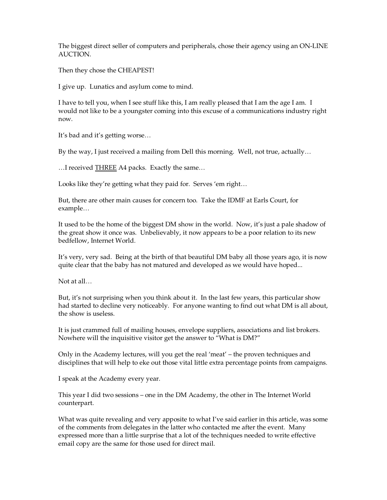The biggest direct seller of computers and peripherals, chose their agency using an ON-LINE AUCTION.

Then they chose the CHEAPEST!

I give up. Lunatics and asylum come to mind.

I have to tell you, when I see stuff like this, I am really pleased that I am the age I am. I would not like to be a youngster coming into this excuse of a communications industry right now.

It's bad and it's getting worse…

By the way, I just received a mailing from Dell this morning. Well, not true, actually…

…I received THREE A4 packs. Exactly the same…

Looks like they're getting what they paid for. Serves 'em right…

But, there are other main causes for concern too. Take the IDMF at Earls Court, for example…

It used to be the home of the biggest DM show in the world. Now, it's just a pale shadow of the great show it once was. Unbelievably, it now appears to be a poor relation to its new bedfellow, Internet World.

It's very, very sad. Being at the birth of that beautiful DM baby all those years ago, it is now quite clear that the baby has not matured and developed as we would have hoped...

Not at all…

But, it's not surprising when you think about it. In the last few years, this particular show had started to decline very noticeably. For anyone wanting to find out what DM is all about, the show is useless.

It is just crammed full of mailing houses, envelope suppliers, associations and list brokers. Nowhere will the inquisitive visitor get the answer to "What is DM?"

Only in the Academy lectures, will you get the real 'meat' – the proven techniques and disciplines that will help to eke out those vital little extra percentage points from campaigns.

I speak at the Academy every year.

This year I did two sessions – one in the DM Academy, the other in The Internet World counterpart.

What was quite revealing and very apposite to what I've said earlier in this article, was some of the comments from delegates in the latter who contacted me after the event. Many expressed more than a little surprise that a lot of the techniques needed to write effective email copy are the same for those used for direct mail.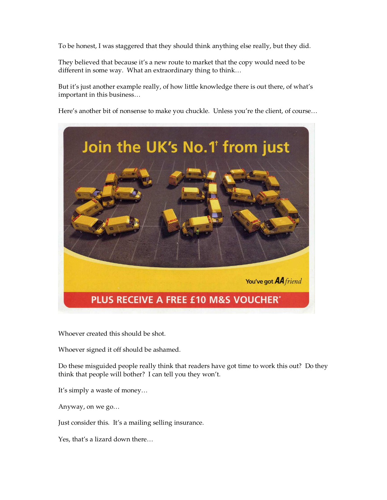To be honest, I was staggered that they should think anything else really, but they did.

They believed that because it's a new route to market that the copy would need to be different in some way. What an extraordinary thing to think…

But it's just another example really, of how little knowledge there is out there, of what's important in this business…

Here's another bit of nonsense to make you chuckle. Unless you're the client, of course...



Whoever created this should be shot.

Whoever signed it off should be ashamed.

Do these misguided people really think that readers have got time to work this out? Do they think that people will bother? I can tell you they won't.

It's simply a waste of money…

Anyway, on we go…

Just consider this. It's a mailing selling insurance.

Yes, that's a lizard down there…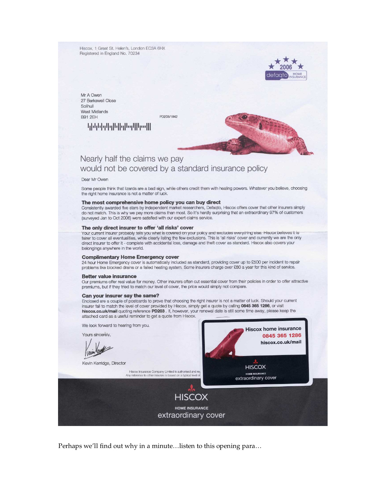Hiscox, 1 Great St. Helen's, London EC3A 6HX Registered in England No. 70234



Mr A Owen 27 Berkswell Close Solibull **West Midlands B91 2EH** 

# إزراقتيا إلزمال بإليال والواملوليل

# Nearly half the claims we pay would not be covered by a standard insurance policy

PD203/1842

Dear Mr Owen

Some people think that lizards are a bad sign, while others credit them with healing powers. Whatever you believe, choosing the right home insurance is not a matter of luck.

#### The most comprehensive home policy you can buy direct

Consistently awarded five stars by independent market researchers, Defaqto, Hiscox offers cover that other insurers simply do not match. This is why we pay more claims than most. So it's hardly surprising that an extraordinary 97% of customers (surveyed Jan to Oct 2006) were satisfied with our expert claims service.

#### The only direct insurer to offer 'all risks' cover

Your current insurer probably tells you what is covered on your policy and excludes everything eise. Hiscox believes it is fairer to cover all eventualities, while clearly listing the few exclusions. This is 'all risks' cover and currently we are the only direct insurer to offer it - complete with accidental loss, damage and theft cover as standard. Hiscox also covers your belongings anywhere in the world.

#### **Complimentary Home Emergency cover**

24 hour Home Emergency cover is automatically included as standard, providing cover up to £500 per incident to repair problems like blocked drains or a failed heating system. Some insurers charge over £80 a year for this kind of service.

#### **Better value insurance**

Our premiums offer real value for money. Other insurers often cut essential cover from their policies in order to offer attractive premiums, but if they tried to match our level of cover, the price would simply not compare.

#### Can your insurer say the same?

Enclosed are a couple of postcards to prove that choosing the right insurer is not a matter of luck. Should your current Linsurer fail to match the level of cover provided by Hiscox, simply get a quote by calling 0845 365 1286, or visit<br>hiscox.co.uk/mail quoting reference PD203 . If, however, your renewal date is still some time away, please attached card as a useful reminder to get a quote from Hiscox.

| We look forward to hearing from you.<br>Yours sincerely,<br>$1$ (elimn) |                                                                                                                          | <b>Hiscox home insurance</b><br>0845 365 1286<br>hiscox.co.uk/mail |
|-------------------------------------------------------------------------|--------------------------------------------------------------------------------------------------------------------------|--------------------------------------------------------------------|
| Kevin Kerridge, Director                                                | Hiscox Insurance Company Limited is authorised and reg<br>Any reference to other insurers is based on a typical level of | <b>HISCOX</b><br><b>HOME INSURANCE</b><br>extraordinary cover      |
|                                                                         | <b>HISCOX</b>                                                                                                            |                                                                    |
|                                                                         | <b>HOME INSURANCE</b><br>extraordinary cover                                                                             |                                                                    |
|                                                                         |                                                                                                                          |                                                                    |

Perhaps we'll find out why in a minute…listen to this opening para…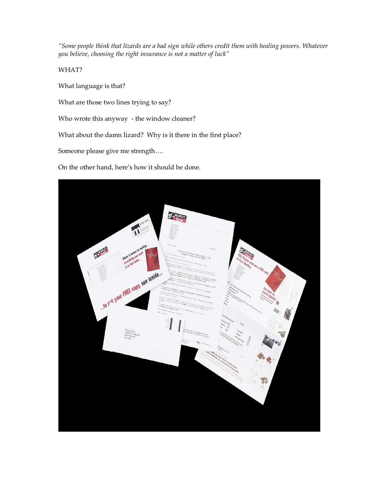*"Some people think that lizards are a bad sign while others credit them with healing powers. Whatever you believe, choosing the right insurance is not a matter of luck"* 

WHAT?

What language is that?

What are those two lines trying to say?

Who wrote this anyway - the window cleaner?

What about the damn lizard? Why is it there in the first place?

Someone please give me strength….

On the other hand, here's how it should be done.

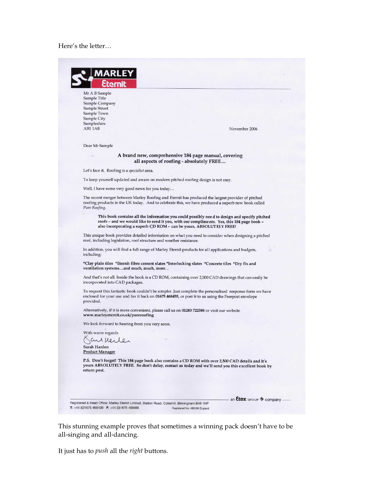## Here's the letter…

 $\sim$ 

| Mr A B Sample                          |                                                                                                                                                                                                                                                                   |  |
|----------------------------------------|-------------------------------------------------------------------------------------------------------------------------------------------------------------------------------------------------------------------------------------------------------------------|--|
| Sample Title                           |                                                                                                                                                                                                                                                                   |  |
| Sample Company                         |                                                                                                                                                                                                                                                                   |  |
| Sample Street                          |                                                                                                                                                                                                                                                                   |  |
| Sample Town                            |                                                                                                                                                                                                                                                                   |  |
| Sample City                            |                                                                                                                                                                                                                                                                   |  |
| Sampleshire                            |                                                                                                                                                                                                                                                                   |  |
| AB1 1AB                                | November 2006                                                                                                                                                                                                                                                     |  |
| Dear Mr Sample                         |                                                                                                                                                                                                                                                                   |  |
| ×                                      | A brand new, comprehensive 184 page manual, covering                                                                                                                                                                                                              |  |
|                                        | all aspects of roofing - absolutely FREE                                                                                                                                                                                                                          |  |
|                                        | Let's face it. Roofing is a <i>specialist</i> area.                                                                                                                                                                                                               |  |
|                                        | To keep yourself updated and aware on modern pitched roofing design is not easy.                                                                                                                                                                                  |  |
|                                        | Well, I have some very good news for you today                                                                                                                                                                                                                    |  |
| Pure Roofing.                          | The recent merger between Marley Roofing and Eternit has produced the largest provider of pitched<br>roofing products in the UK today. And to celebrate this, we have produced a superb new book called                                                           |  |
|                                        | This book contains all the information you could possibly nee d to design and specify pitched<br>roofs - and we would like to send it you, with our compliments. Yes, this 184 page book -<br>also incorporating a superb CD ROM - can be yours, ABSOLUTELY FREE! |  |
|                                        | This unique book provides detailed information on what you need to consider when designing a pitched<br>roof, including legislation, roof structure and weather resistance.                                                                                       |  |
| including:                             | In addition, you will find a full range of Marley Eternit products for all applications and budgets,                                                                                                                                                              |  |
|                                        | *Clay plain tiles *Eternit fibre cement slates *Interlocking slates *Concrete tiles *Dry fix and<br>ventilation systemsand much, much, more                                                                                                                       |  |
|                                        | And that's not all. Inside the book is a CD ROM, containing over 2,500 CAD drawings that can easily be<br>incorporated into CAD packages.                                                                                                                         |  |
| provided.                              | To request this fantastic book couldn't be simpler. Just complete the personalised response form we have<br>enclosed for your use and fax it back on 01675 468455, or post it to us using the Freepost envelope                                                   |  |
|                                        | Alternatively, if it is more convenient, please call us on 01283 722588 or visit our website<br>www.marleyeternit.co.uk/pureroofing                                                                                                                               |  |
|                                        | We look forward to hearing from you very soon.                                                                                                                                                                                                                    |  |
| With warm regards                      |                                                                                                                                                                                                                                                                   |  |
| culherles                              |                                                                                                                                                                                                                                                                   |  |
| Sarah Hanlon<br><b>Product Manager</b> |                                                                                                                                                                                                                                                                   |  |
| return post.                           | P.S. Don't forget! This 184 page book also contains a CD ROM with over 2,500 CAD details and it's<br>yours ABSOLUTELY FREE. So don't delay, contact us today and we'll send you this excellent book by                                                            |  |
|                                        |                                                                                                                                                                                                                                                                   |  |
|                                        |                                                                                                                                                                                                                                                                   |  |
|                                        | an Etex GROUP & company                                                                                                                                                                                                                                           |  |
|                                        | Registered & Head Office: Marley Eternit Limited, Station Road, Coleshill, Birmingham B46 1HP                                                                                                                                                                     |  |

This stunning example proves that sometimes a winning pack doesn't have to be all-singing and all-dancing.

It just has to *push* all the *right* buttons.